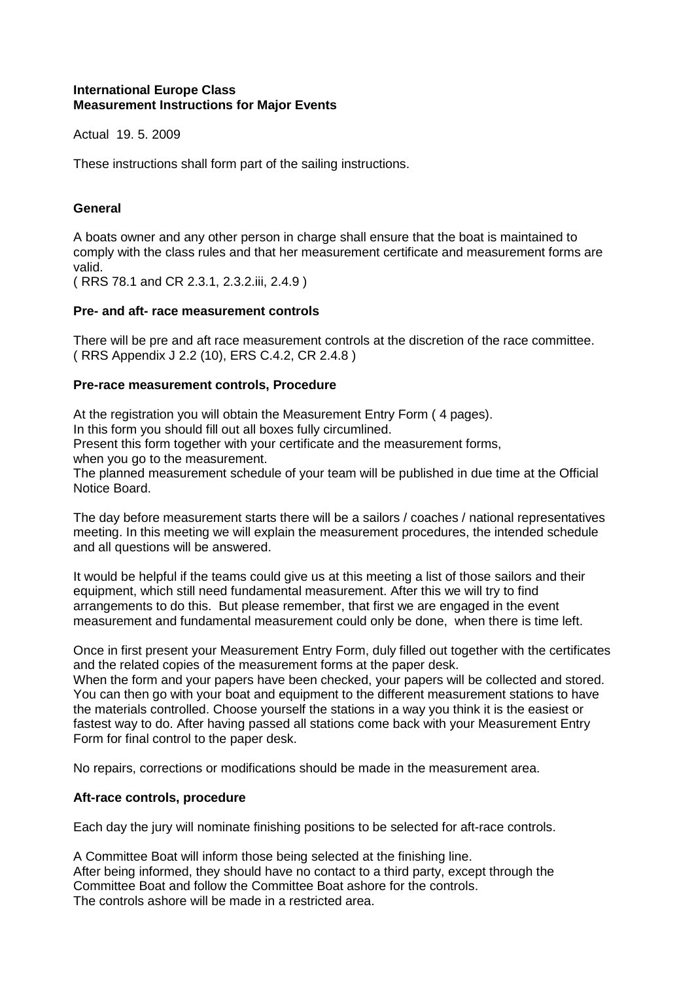### **International Europe Class Measurement Instructions for Major Events**

Actual 19. 5. 2009

These instructions shall form part of the sailing instructions.

# **General**

A boats owner and any other person in charge shall ensure that the boat is maintained to comply with the class rules and that her measurement certificate and measurement forms are valid.

( RRS 78.1 and CR 2.3.1, 2.3.2.iii, 2.4.9 )

# **Pre- and aft- race measurement controls**

There will be pre and aft race measurement controls at the discretion of the race committee. ( RRS Appendix J 2.2 (10), ERS C.4.2, CR 2.4.8 )

### **Pre-race measurement controls, Procedure**

At the registration you will obtain the Measurement Entry Form ( 4 pages). In this form you should fill out all boxes fully circumlined. Present this form together with your certificate and the measurement forms, when you go to the measurement. The planned measurement schedule of your team will be published in due time at the Official

Notice Board.

The day before measurement starts there will be a sailors / coaches / national representatives meeting. In this meeting we will explain the measurement procedures, the intended schedule and all questions will be answered.

It would be helpful if the teams could give us at this meeting a list of those sailors and their equipment, which still need fundamental measurement. After this we will try to find arrangements to do this. But please remember, that first we are engaged in the event measurement and fundamental measurement could only be done, when there is time left.

Once in first present your Measurement Entry Form, duly filled out together with the certificates and the related copies of the measurement forms at the paper desk.

When the form and your papers have been checked, your papers will be collected and stored. You can then go with your boat and equipment to the different measurement stations to have the materials controlled. Choose yourself the stations in a way you think it is the easiest or fastest way to do. After having passed all stations come back with your Measurement Entry Form for final control to the paper desk.

No repairs, corrections or modifications should be made in the measurement area.

### **Aft-race controls, procedure**

Each day the jury will nominate finishing positions to be selected for aft-race controls.

A Committee Boat will inform those being selected at the finishing line. After being informed, they should have no contact to a third party, except through the Committee Boat and follow the Committee Boat ashore for the controls. The controls ashore will be made in a restricted area.